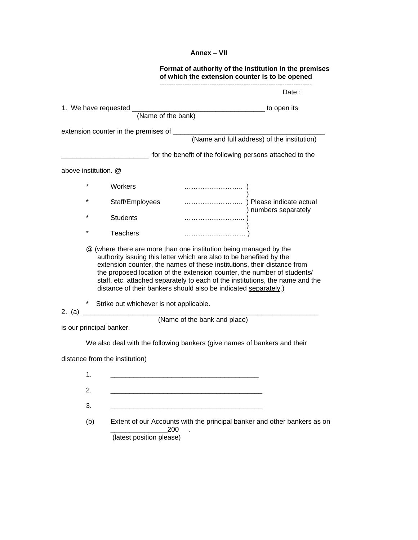## **Annex – VII**

|                                                                                                                                                                                                                                                                                                                                                                                                                                                    |                      |                                                                                 |  | Format of authority of the institution in the premises<br>of which the extension counter is to be opened |                                                          |  |
|----------------------------------------------------------------------------------------------------------------------------------------------------------------------------------------------------------------------------------------------------------------------------------------------------------------------------------------------------------------------------------------------------------------------------------------------------|----------------------|---------------------------------------------------------------------------------|--|----------------------------------------------------------------------------------------------------------|----------------------------------------------------------|--|
|                                                                                                                                                                                                                                                                                                                                                                                                                                                    |                      |                                                                                 |  |                                                                                                          | Date:                                                    |  |
|                                                                                                                                                                                                                                                                                                                                                                                                                                                    |                      |                                                                                 |  |                                                                                                          |                                                          |  |
|                                                                                                                                                                                                                                                                                                                                                                                                                                                    |                      |                                                                                 |  |                                                                                                          |                                                          |  |
|                                                                                                                                                                                                                                                                                                                                                                                                                                                    |                      |                                                                                 |  |                                                                                                          |                                                          |  |
|                                                                                                                                                                                                                                                                                                                                                                                                                                                    |                      |                                                                                 |  |                                                                                                          |                                                          |  |
|                                                                                                                                                                                                                                                                                                                                                                                                                                                    |                      |                                                                                 |  |                                                                                                          | for the benefit of the following persons attached to the |  |
|                                                                                                                                                                                                                                                                                                                                                                                                                                                    | above institution. @ |                                                                                 |  |                                                                                                          |                                                          |  |
|                                                                                                                                                                                                                                                                                                                                                                                                                                                    | *                    | Workers                                                                         |  |                                                                                                          |                                                          |  |
|                                                                                                                                                                                                                                                                                                                                                                                                                                                    | $\star$              | Staff/Employees                                                                 |  |                                                                                                          | )<br>Please indicate actual )Please indicate actual      |  |
|                                                                                                                                                                                                                                                                                                                                                                                                                                                    | $\star$              | <b>Students</b>                                                                 |  |                                                                                                          |                                                          |  |
|                                                                                                                                                                                                                                                                                                                                                                                                                                                    | *                    | <b>Teachers</b>                                                                 |  |                                                                                                          |                                                          |  |
| @ (where there are more than one institution being managed by the<br>authority issuing this letter which are also to be benefited by the<br>extension counter, the names of these institutions, their distance from<br>the proposed location of the extension counter, the number of students/<br>staff, etc. attached separately to each of the institutions, the name and the<br>distance of their bankers should also be indicated separately.) |                      |                                                                                 |  |                                                                                                          |                                                          |  |
| 2. (a) _                                                                                                                                                                                                                                                                                                                                                                                                                                           |                      | * Strike out whichever is not applicable.                                       |  |                                                                                                          |                                                          |  |
| (Name of the bank and place)<br>is our principal banker.                                                                                                                                                                                                                                                                                                                                                                                           |                      |                                                                                 |  |                                                                                                          |                                                          |  |
| We also deal with the following bankers (give names of bankers and their                                                                                                                                                                                                                                                                                                                                                                           |                      |                                                                                 |  |                                                                                                          |                                                          |  |
| distance from the institution)                                                                                                                                                                                                                                                                                                                                                                                                                     |                      |                                                                                 |  |                                                                                                          |                                                          |  |
|                                                                                                                                                                                                                                                                                                                                                                                                                                                    | 1.                   |                                                                                 |  |                                                                                                          |                                                          |  |
|                                                                                                                                                                                                                                                                                                                                                                                                                                                    | 2.                   |                                                                                 |  |                                                                                                          |                                                          |  |
|                                                                                                                                                                                                                                                                                                                                                                                                                                                    | 3.                   |                                                                                 |  |                                                                                                          |                                                          |  |
|                                                                                                                                                                                                                                                                                                                                                                                                                                                    | (b)                  | Extent of our Accounts with the principal banker and other bankers as on<br>200 |  |                                                                                                          |                                                          |  |

(latest position please)